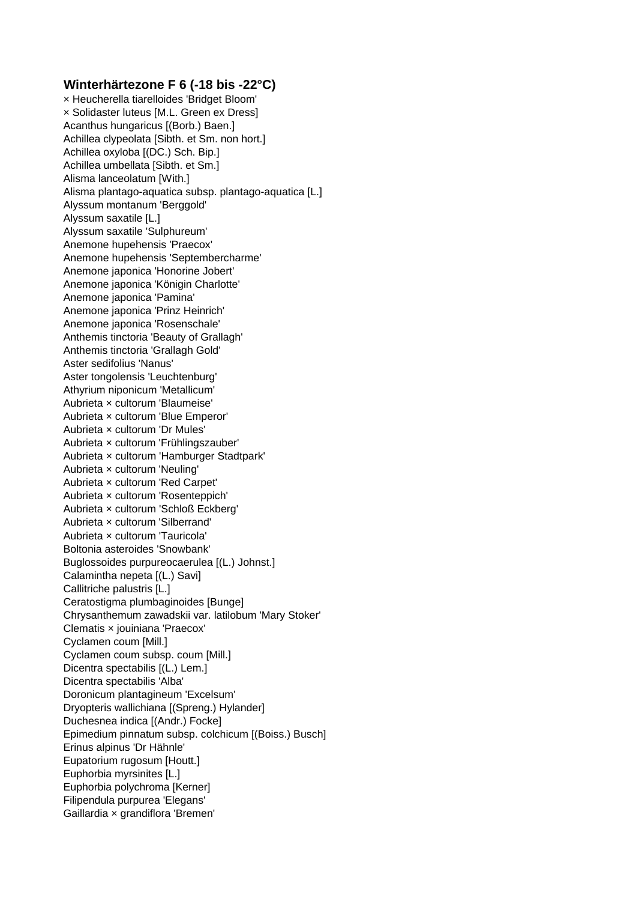## **Winterhärtezone F 6 (-18 bis -22°C)**

× Heucherella tiarelloides 'Bridget Bloom' × Solidaster luteus [M.L. Green ex Dress] Acanthus hungaricus [(Borb.) Baen.] Achillea clypeolata [Sibth. et Sm. non hort.] Achillea oxyloba [(DC.) Sch. Bip.] Achillea umbellata [Sibth. et Sm.] Alisma lanceolatum [With.] Alisma plantago-aquatica subsp. plantago-aquatica [L.] Alyssum montanum 'Berggold' Alyssum saxatile [L.] Alyssum saxatile 'Sulphureum' Anemone hupehensis 'Praecox' Anemone hupehensis 'Septembercharme' Anemone japonica 'Honorine Jobert' Anemone japonica 'Königin Charlotte' Anemone japonica 'Pamina' Anemone japonica 'Prinz Heinrich' Anemone japonica 'Rosenschale' Anthemis tinctoria 'Beauty of Grallagh' Anthemis tinctoria 'Grallagh Gold' Aster sedifolius 'Nanus' Aster tongolensis 'Leuchtenburg' Athyrium niponicum 'Metallicum' Aubrieta × cultorum 'Blaumeise' Aubrieta × cultorum 'Blue Emperor' Aubrieta × cultorum 'Dr Mules' Aubrieta × cultorum 'Frühlingszauber' Aubrieta × cultorum 'Hamburger Stadtpark' Aubrieta × cultorum 'Neuling' Aubrieta × cultorum 'Red Carpet' Aubrieta × cultorum 'Rosenteppich' Aubrieta × cultorum 'Schloß Eckberg' Aubrieta × cultorum 'Silberrand' Aubrieta × cultorum 'Tauricola' Boltonia asteroides 'Snowbank' Buglossoides purpureocaerulea [(L.) Johnst.] Calamintha nepeta [(L.) Savi] Callitriche palustris [L.] Ceratostigma plumbaginoides [Bunge] Chrysanthemum zawadskii var. latilobum 'Mary Stoker' Clematis × jouiniana 'Praecox' Cyclamen coum [Mill.] Cyclamen coum subsp. coum [Mill.] Dicentra spectabilis [(L.) Lem.] Dicentra spectabilis 'Alba' Doronicum plantagineum 'Excelsum' Dryopteris wallichiana [(Spreng.) Hylander] Duchesnea indica [(Andr.) Focke] Epimedium pinnatum subsp. colchicum [(Boiss.) Busch] Erinus alpinus 'Dr Hähnle' Eupatorium rugosum [Houtt.] Euphorbia myrsinites [L.] Euphorbia polychroma [Kerner] Filipendula purpurea 'Elegans' Gaillardia × grandiflora 'Bremen'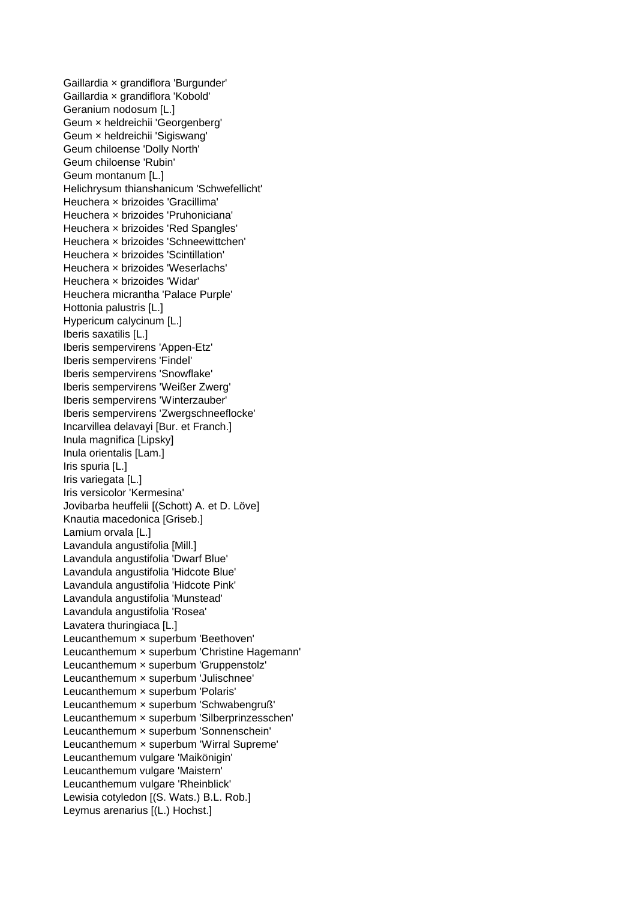Gaillardia × grandiflora 'Burgunder' Gaillardia × grandiflora 'Kobold' Geranium nodosum [L.] Geum × heldreichii 'Georgenberg' Geum × heldreichii 'Sigiswang' Geum chiloense 'Dolly North' Geum chiloense 'Rubin' Geum montanum [L.] Helichrysum thianshanicum 'Schwefellicht' Heuchera × brizoides 'Gracillima' Heuchera × brizoides 'Pruhoniciana' Heuchera × brizoides 'Red Spangles' Heuchera × brizoides 'Schneewittchen' Heuchera × brizoides 'Scintillation' Heuchera × brizoides 'Weserlachs' Heuchera × brizoides 'Widar' Heuchera micrantha 'Palace Purple' Hottonia palustris [L.] Hypericum calycinum [L.] Iberis saxatilis [L.] Iberis sempervirens 'Appen-Etz' Iberis sempervirens 'Findel' Iberis sempervirens 'Snowflake' Iberis sempervirens 'Weißer Zwerg' Iberis sempervirens 'Winterzauber' Iberis sempervirens 'Zwergschneeflocke' Incarvillea delavayi [Bur. et Franch.] Inula magnifica [Lipsky] Inula orientalis [Lam.] Iris spuria [L.] Iris variegata [L.] Iris versicolor 'Kermesina' Jovibarba heuffelii [(Schott) A. et D. Löve] Knautia macedonica [Griseb.] Lamium orvala [L.] Lavandula angustifolia [Mill.] Lavandula angustifolia 'Dwarf Blue' Lavandula angustifolia 'Hidcote Blue' Lavandula angustifolia 'Hidcote Pink' Lavandula angustifolia 'Munstead' Lavandula angustifolia 'Rosea' Lavatera thuringiaca [L.] Leucanthemum × superbum 'Beethoven' Leucanthemum × superbum 'Christine Hagemann' Leucanthemum × superbum 'Gruppenstolz' Leucanthemum × superbum 'Julischnee' Leucanthemum × superbum 'Polaris' Leucanthemum × superbum 'Schwabengruß' Leucanthemum × superbum 'Silberprinzesschen' Leucanthemum × superbum 'Sonnenschein' Leucanthemum × superbum 'Wirral Supreme' Leucanthemum vulgare 'Maikönigin' Leucanthemum vulgare 'Maistern' Leucanthemum vulgare 'Rheinblick' Lewisia cotyledon [(S. Wats.) B.L. Rob.] Leymus arenarius [(L.) Hochst.]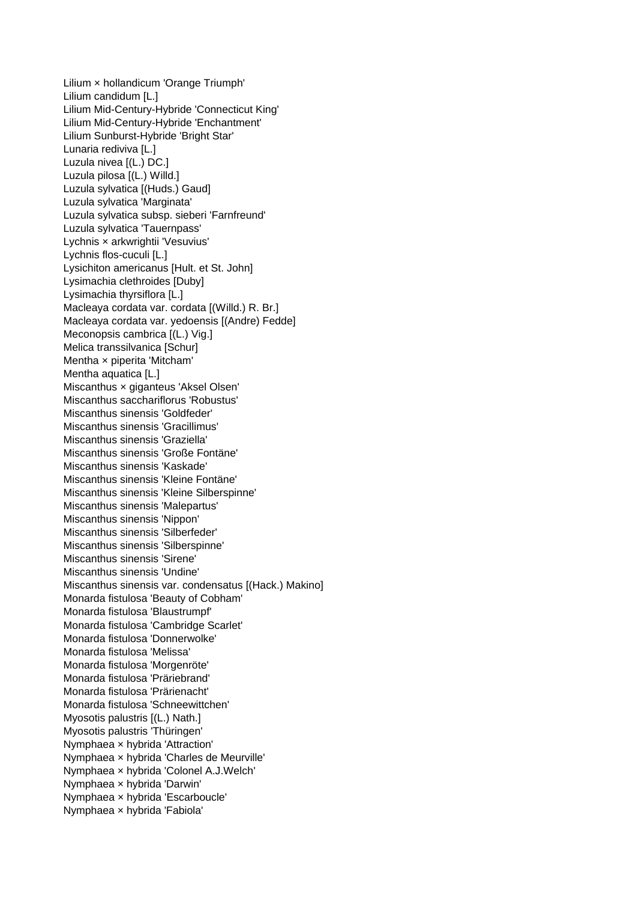Lilium × hollandicum 'Orange Triumph' Lilium candidum [L.] Lilium Mid-Century-Hybride 'Connecticut King' Lilium Mid-Century-Hybride 'Enchantment' Lilium Sunburst-Hybride 'Bright Star' Lunaria rediviva [L.] Luzula nivea [(L.) DC.] Luzula pilosa [(L.) Willd.] Luzula sylvatica [(Huds.) Gaud] Luzula sylvatica 'Marginata' Luzula sylvatica subsp. sieberi 'Farnfreund' Luzula sylvatica 'Tauernpass' Lychnis × arkwrightii 'Vesuvius' Lychnis flos-cuculi [L.] Lysichiton americanus [Hult. et St. John] Lysimachia clethroides [Duby] Lysimachia thyrsiflora [L.] Macleaya cordata var. cordata [(Willd.) R. Br.] Macleaya cordata var. yedoensis [(Andre) Fedde] Meconopsis cambrica [(L.) Vig.] Melica transsilvanica [Schur] Mentha × piperita 'Mitcham' Mentha aquatica [L.] Miscanthus × giganteus 'Aksel Olsen' Miscanthus sacchariflorus 'Robustus' Miscanthus sinensis 'Goldfeder' Miscanthus sinensis 'Gracillimus' Miscanthus sinensis 'Graziella' Miscanthus sinensis 'Große Fontäne' Miscanthus sinensis 'Kaskade' Miscanthus sinensis 'Kleine Fontäne' Miscanthus sinensis 'Kleine Silberspinne' Miscanthus sinensis 'Malepartus' Miscanthus sinensis 'Nippon' Miscanthus sinensis 'Silberfeder' Miscanthus sinensis 'Silberspinne' Miscanthus sinensis 'Sirene' Miscanthus sinensis 'Undine' Miscanthus sinensis var. condensatus [(Hack.) Makino] Monarda fistulosa 'Beauty of Cobham' Monarda fistulosa 'Blaustrumpf' Monarda fistulosa 'Cambridge Scarlet' Monarda fistulosa 'Donnerwolke' Monarda fistulosa 'Melissa' Monarda fistulosa 'Morgenröte' Monarda fistulosa 'Präriebrand' Monarda fistulosa 'Prärienacht' Monarda fistulosa 'Schneewittchen' Myosotis palustris [(L.) Nath.] Myosotis palustris 'Thüringen' Nymphaea × hybrida 'Attraction' Nymphaea × hybrida 'Charles de Meurville' Nymphaea × hybrida 'Colonel A.J.Welch' Nymphaea × hybrida 'Darwin' Nymphaea × hybrida 'Escarboucle' Nymphaea × hybrida 'Fabiola'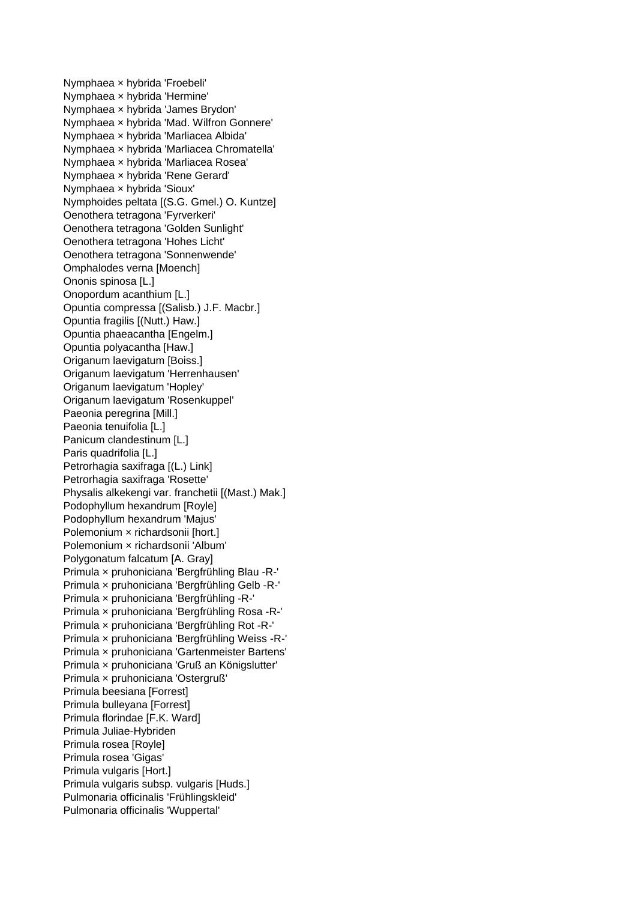Nymphaea × hybrida 'Froebeli' Nymphaea × hybrida 'Hermine' Nymphaea × hybrida 'James Brydon' Nymphaea × hybrida 'Mad. Wilfron Gonnere' Nymphaea × hybrida 'Marliacea Albida' Nymphaea × hybrida 'Marliacea Chromatella' Nymphaea × hybrida 'Marliacea Rosea' Nymphaea × hybrida 'Rene Gerard' Nymphaea × hybrida 'Sioux' Nymphoides peltata [(S.G. Gmel.) O. Kuntze] Oenothera tetragona 'Fyrverkeri' Oenothera tetragona 'Golden Sunlight' Oenothera tetragona 'Hohes Licht' Oenothera tetragona 'Sonnenwende' Omphalodes verna [Moench] Ononis spinosa [L.] Onopordum acanthium [L.] Opuntia compressa [(Salisb.) J.F. Macbr.] Opuntia fragilis [(Nutt.) Haw.] Opuntia phaeacantha [Engelm.] Opuntia polyacantha [Haw.] Origanum laevigatum [Boiss.] Origanum laevigatum 'Herrenhausen' Origanum laevigatum 'Hopley' Origanum laevigatum 'Rosenkuppel' Paeonia peregrina [Mill.] Paeonia tenuifolia [L.] Panicum clandestinum [L.] Paris quadrifolia [L.] Petrorhagia saxifraga [(L.) Link] Petrorhagia saxifraga 'Rosette' Physalis alkekengi var. franchetii [(Mast.) Mak.] Podophyllum hexandrum [Royle] Podophyllum hexandrum 'Majus' Polemonium × richardsonii [hort.] Polemonium × richardsonii 'Album' Polygonatum falcatum [A. Gray] Primula × pruhoniciana 'Bergfrühling Blau -R-' Primula × pruhoniciana 'Bergfrühling Gelb -R-' Primula × pruhoniciana 'Bergfrühling -R-' Primula × pruhoniciana 'Bergfrühling Rosa -R-' Primula × pruhoniciana 'Bergfrühling Rot -R-' Primula × pruhoniciana 'Bergfrühling Weiss -R-' Primula × pruhoniciana 'Gartenmeister Bartens' Primula × pruhoniciana 'Gruß an Königslutter' Primula × pruhoniciana 'Ostergruß' Primula beesiana [Forrest] Primula bulleyana [Forrest] Primula florindae [F.K. Ward] Primula Juliae-Hybriden Primula rosea [Royle] Primula rosea 'Gigas' Primula vulgaris [Hort.] Primula vulgaris subsp. vulgaris [Huds.] Pulmonaria officinalis 'Frühlingskleid' Pulmonaria officinalis 'Wuppertal'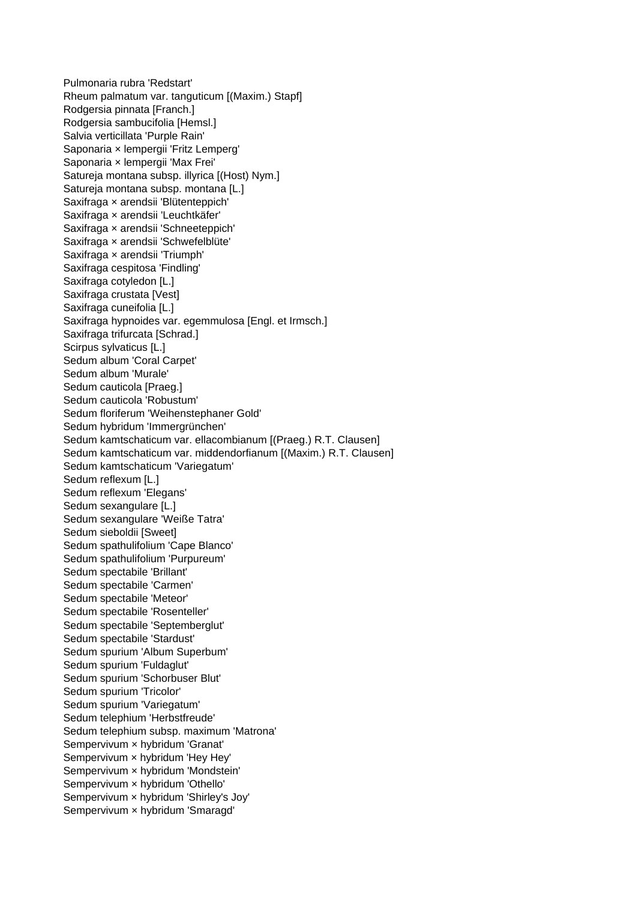Pulmonaria rubra 'Redstart' Rheum palmatum var. tanguticum [(Maxim.) Stapf] Rodgersia pinnata [Franch.] Rodgersia sambucifolia [Hemsl.] Salvia verticillata 'Purple Rain' Saponaria × lempergii 'Fritz Lemperg' Saponaria × lempergii 'Max Frei' Satureja montana subsp. illyrica [(Host) Nym.] Satureja montana subsp. montana [L.] Saxifraga × arendsii 'Blütenteppich' Saxifraga × arendsii 'Leuchtkäfer' Saxifraga × arendsii 'Schneeteppich' Saxifraga × arendsii 'Schwefelblüte' Saxifraga × arendsii 'Triumph' Saxifraga cespitosa 'Findling' Saxifraga cotyledon [L.] Saxifraga crustata [Vest] Saxifraga cuneifolia [L.] Saxifraga hypnoides var. egemmulosa [Engl. et Irmsch.] Saxifraga trifurcata [Schrad.] Scirpus sylvaticus [L.] Sedum album 'Coral Carpet' Sedum album 'Murale' Sedum cauticola [Praeg.] Sedum cauticola 'Robustum' Sedum floriferum 'Weihenstephaner Gold' Sedum hybridum 'Immergrünchen' Sedum kamtschaticum var. ellacombianum [(Praeg.) R.T. Clausen] Sedum kamtschaticum var. middendorfianum [(Maxim.) R.T. Clausen] Sedum kamtschaticum 'Variegatum' Sedum reflexum [L.] Sedum reflexum 'Elegans' Sedum sexangulare [L.] Sedum sexangulare 'Weiße Tatra' Sedum sieboldii [Sweet] Sedum spathulifolium 'Cape Blanco' Sedum spathulifolium 'Purpureum' Sedum spectabile 'Brillant' Sedum spectabile 'Carmen' Sedum spectabile 'Meteor' Sedum spectabile 'Rosenteller' Sedum spectabile 'Septemberglut' Sedum spectabile 'Stardust' Sedum spurium 'Album Superbum' Sedum spurium 'Fuldaglut' Sedum spurium 'Schorbuser Blut' Sedum spurium 'Tricolor' Sedum spurium 'Variegatum' Sedum telephium 'Herbstfreude' Sedum telephium subsp. maximum 'Matrona' Sempervivum × hybridum 'Granat' Sempervivum × hybridum 'Hey Hey' Sempervivum × hybridum 'Mondstein' Sempervivum × hybridum 'Othello' Sempervivum × hybridum 'Shirley's Joy' Sempervivum × hybridum 'Smaragd'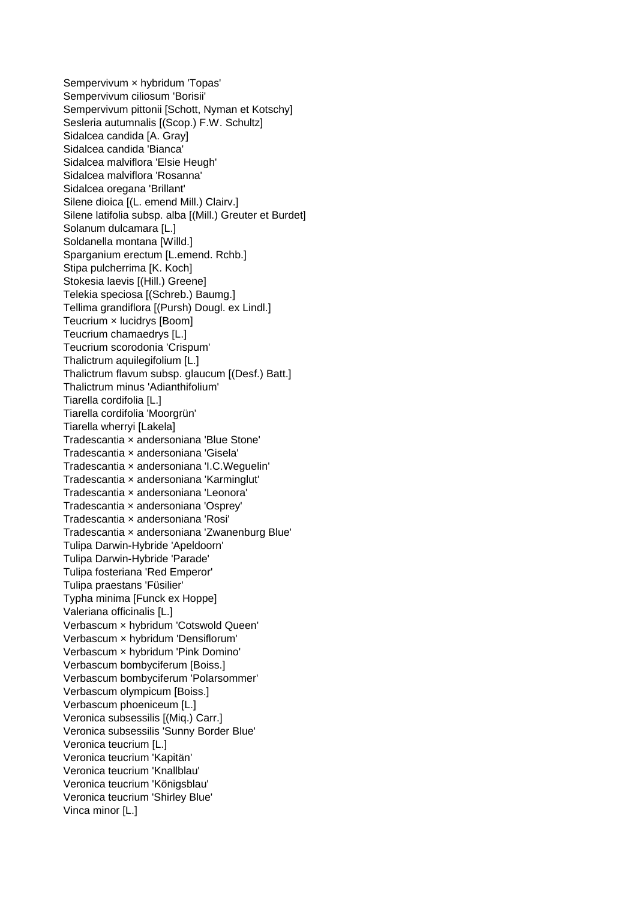Sempervivum × hybridum 'Topas' Sempervivum ciliosum 'Borisii' Sempervivum pittonii [Schott, Nyman et Kotschy] Sesleria autumnalis [(Scop.) F.W. Schultz] Sidalcea candida [A. Gray] Sidalcea candida 'Bianca' Sidalcea malviflora 'Elsie Heugh' Sidalcea malviflora 'Rosanna' Sidalcea oregana 'Brillant' Silene dioica [(L. emend Mill.) Clairv.] Silene latifolia subsp. alba [(Mill.) Greuter et Burdet] Solanum dulcamara [L.] Soldanella montana [Willd.] Sparganium erectum [L.emend. Rchb.] Stipa pulcherrima [K. Koch] Stokesia laevis [(Hill.) Greene] Telekia speciosa [(Schreb.) Baumg.] Tellima grandiflora [(Pursh) Dougl. ex Lindl.] Teucrium × lucidrys [Boom] Teucrium chamaedrys [L.] Teucrium scorodonia 'Crispum' Thalictrum aquilegifolium [L.] Thalictrum flavum subsp. glaucum [(Desf.) Batt.] Thalictrum minus 'Adianthifolium' Tiarella cordifolia [L.] Tiarella cordifolia 'Moorgrün' Tiarella wherryi [Lakela] Tradescantia × andersoniana 'Blue Stone' Tradescantia × andersoniana 'Gisela' Tradescantia × andersoniana 'I.C.Weguelin' Tradescantia × andersoniana 'Karminglut' Tradescantia × andersoniana 'Leonora' Tradescantia × andersoniana 'Osprey' Tradescantia × andersoniana 'Rosi' Tradescantia × andersoniana 'Zwanenburg Blue' Tulipa Darwin-Hybride 'Apeldoorn' Tulipa Darwin-Hybride 'Parade' Tulipa fosteriana 'Red Emperor' Tulipa praestans 'Füsilier' Typha minima [Funck ex Hoppe] Valeriana officinalis [L.] Verbascum × hybridum 'Cotswold Queen' Verbascum × hybridum 'Densiflorum' Verbascum × hybridum 'Pink Domino' Verbascum bombyciferum [Boiss.] Verbascum bombyciferum 'Polarsommer' Verbascum olympicum [Boiss.] Verbascum phoeniceum [L.] Veronica subsessilis [(Miq.) Carr.] Veronica subsessilis 'Sunny Border Blue' Veronica teucrium [L.] Veronica teucrium 'Kapitän' Veronica teucrium 'Knallblau' Veronica teucrium 'Königsblau' Veronica teucrium 'Shirley Blue' Vinca minor [L.]